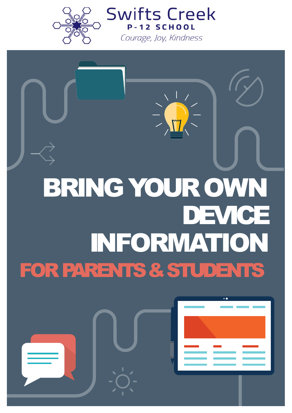

**SCHOOL** Courage, Joy, Kindness

**Swifts Creek** 

# BRING YOUROWN DEVICE INFORMATION FOR PARENTS & STUDENTS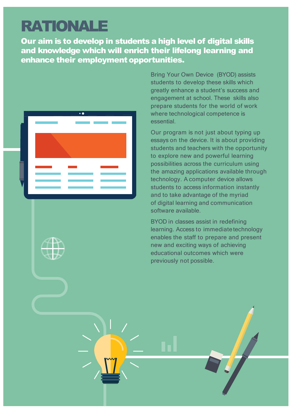### RATIONALE

Our aim is to develop in students a high level of digital skills and knowledge which will enrich their lifelong learning and enhance their employment opportunities.



Bring Your Own Device (BYOD) assists students to develop these skills which greatly enhance a student's success and engagement at school. These skills also prepare students for the world of work where technological competence is essential.

Our program is not just about typing up essays on the device. It is about providing students and teachers with the opportunity to explore new and powerful learning possibilities across the curriculum using the amazing applications available through technology. A computer device allows students to access information instantly and to take advantage of the myriad of digital learning and communication software available.

BYOD in classes assist in redefining learning. Access to immediate technology enables the staff to prepare and present new and exciting ways of achieving educational outcomes which were previously not possible.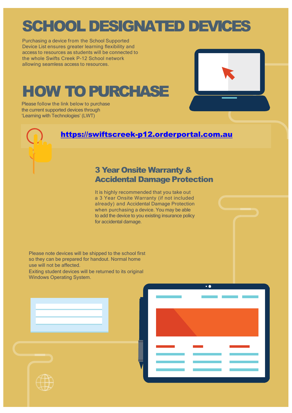# SCHOOL DESIGNATED DEVICES

Purchasing a device from the School Supported Device List ensures greater learning flexibility and access to resources as students will be connected to the whole Swifts Creek P-12 School network allowing seamless access to resources.

# **HOW TO PURCHASE**

Please follow the link below to purchase the current supported devices through 'Learning with Technologies' (LWT)

### [https://swiftscreek-p12.orderportal.com.au](https://swiftscreek-p12.orderportal.com.au/)

### 3 Year Onsite Warranty & Accidental Damage Protection

It is highly recommended that you take out a 3 Year Onsite Warranty (if not included already) and Accidental Damage Protection when purchasing a device. You may be able to add the device to you existing insurance policy for accidental damage.

Please note devices will be shipped to the school first so they can be prepared for handout. Normal home use will not be affected.

Exiting student devices will be returned to its original Windows Operating System.

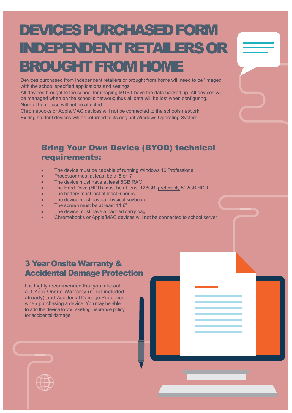# DEVICES PURCHASED FORM INDEPENDENT RETAILERS OR BROUGHT FROM HOME

Devices purchased from independent retailers or brought from home will need to be 'imaged' with the school specified applications and settings.

All devices brought to the school for imaging MUST have the data backed up. All devices will be managed when on the school's network; thus all data will be lost when configuring. Normal home use will not be affected.

Chromebooks or Apple/MAC devices will not be connected to the schools network. Exiting student devices will be returned to its original Windows Operating System.

### Bring Your Own Device (BYOD) technical requirements:

- The device must be capable of running Windows 10 Professional
- Processor must at least be a i5 or i7
- The device must have at least 8GB RAM
- The Hard Drive (HDD) must be at least 128GB, preferably 512GB HDD
- The battery must last at least 6 hours
- The device must have a physical keyboard
- The screen must be at least 11.6"
- The device must have a padded carry bag
- Chromebooks or Apple/MAC devices will not be connected to school server

### 3 Year Onsite Warranty & Accidental Damage Protection

It is highly recommended that you take out a 3 Year Onsite Warranty (if not included already) and Accidental Damage Protection when purchasing a device. You may be able to add the device to you existing insurance policy for accidental damage.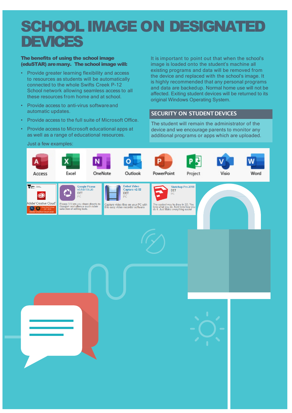### SCHOOL IMAGE ON DESIGNATED **DEVICES**

#### The benefits of using the school image (eduSTAR) aremany. The school image will:

- Provide greater learning flexibility and access to resources as students will be automatically connected to the whole Swifts Creek P-12 School network allowing seamless access to all these resources from home and at school.
- Provide access to anti-virus softwareand automatic updates.
- Provide access to the full suite of Microsoft Office.
- Provide access to Microsoft educational apps at as well as a range of educational resources.

It is important to point out that when the school's image is loaded onto the student's machine all existing programs and data will be removed from the device and replaced with the school's image. It is highly recommended that any personal programs and data are backedup. Normal home use will not be affected. Exiting student devices will be returned to its original Windows Operating System.

#### SECURITY ON STUDENT DEVICES original Windows Operating System.

The student will remain the administrator of the device and we encourage parents to monitor any additional programs or apps which are uploaded.

### Just a few examples:

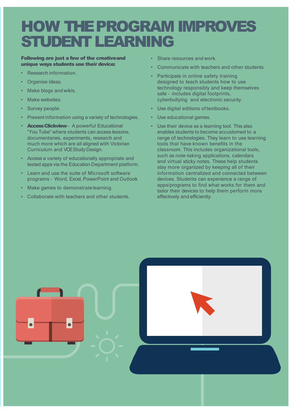### HOW THE PROGRAM IMPROVES STUDENT LEARNING

### Following are just a few of the creativeand unique ways students use their device:

- Research information.
- Organise ideas.
- Make blogs and wikis.
- Make websites.
- Survey people.
- Present information using a variety of technologies.
- **Access Clickview** A powerful Educational "You Tube" where students can access lessons, documentaries, experiments, research and much more which are all aligned with Victorian Curriculum and VCE Study Design.
- Access a variety of educationally appropriate and tested apps via the Education Department platform.
- Learn and use the suite of Microsoft software programs – Word, Excel, PowerPoint and Outlook
- Make games to demonstratelearning.
- Collaborate with teachers and other students.
- Share resources and work.
- Communicate with teachers and other students.
- Participate in online safety training designed to teach students how to use technology responsibly and keep themselves safe – includes digital footprints, cyberbullying and electronic security.
- Use digital editions of textbooks.
- Use educational games.
- Use their device as a learning tool. This also enables students to become accustomed to a range of technologies. They learn to use learning tools that have known benefits in the classroom. This includes organizational tools, such as note-taking applications, calendars and virtual sticky notes. These help students stay more organized by keeping all of their information centralized and connected between devices. Students can experience a range of apps/programs to find what works for them and tailor their devices to help them perform more effectively and efficiently.

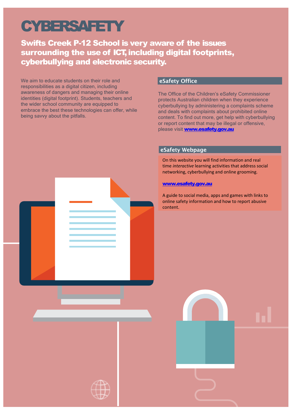### **CYBERSAFETY**

Swifts Creek P-12 School is very aware of the issues surrounding the use of ICT, including digital footprints, cyberbullying and electronic security.

We aim to educate students on their role and responsibilities as a digital citizen, including awareness of dangers and managing their online identities (digital footprint). Students, teachers and the wider school community are equipped to embrace the best these technologies can offer, while being savvy about the pitfalls.

### eSafety Office

The Office of the Children's eSafety Commissioner protects Australian children when they experience cyberbullying by administering a complaints scheme and deals with complaints about prohibited online content. To find out more, get help with cyberbullying or report content that may be illegal or offensive, please visit [www.esafety.gov.au](http://www.esafety.gov.au/)

### eSafety Webpage

On this website you will find information and real time *interactive* learning activities that address social networking, cyberbullying and online grooming.

#### [www.esafety.gov.au](http://www.esafety.gov.au/)

A guide to social media, apps and games with links to online safety information and how to report abusive content.

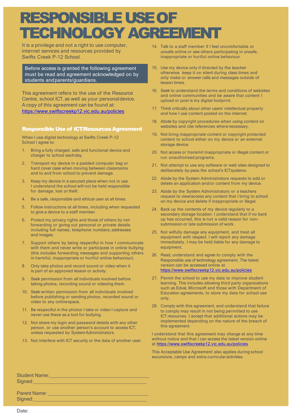### RESPONSIBLE USE OF TECHNOLOGY AGREEMENT

It is a privilege and not a right to use computer, internet services and resources provided by Swifts Creek P-12 School.

Before access is granted the following agreement must be read and agreement acknowledged on by students andparents/guardians.

This agreement refers to the use of the Resource Centre, school ICT, as well as your personaldevice. A copy of this agreement can be found at: <https://www.swiftscreekp12.vic.edu.au/policies>

#### **Responsible Use of ICT/Resources Agreement**

When I use digital technology at Swifts Creek P-12 School I agree to:

- 1. Bring a fully charged, safe and functional device and charger to school eachday.
- 2. Transport my device in a padded computer bag or hard cover case when moving between classrooms and to and from school to prevent damage.
- 3. Keep my device in a secured place when not in use. I understand the school will not be held responsible for damage, lost or theft.
- 4. Be a safe, responsible and ethical user at all times.
- 5. Follow instructions at all times, including when requested to give a device to a staff member.
- 6. Protect my privacy rights and those of others by not forwarding or giving out personal or private details including full names, telephone numbers, addresses and images.
- 7. Support others by being respectful in how I communicate with them and never write or participate in online bullying (this includes forwarding messages and supporting others in harmful, inappropriate or hurtful online behaviour).
- 8. Only take photos and record sound or video when it is part of an approved lesson or activity.
- 9. Seek permission from all individuals involved before taking photos, recording sound or videoing them.
- 10. Seek written permission from all individuals involved before publishing or sending photos, recorded sound or video to any onlinespace.
- 11. Be respectful in the photos I take or video I capture and never use these as a tool for bullying.
- 12. Not share my login and password details with any other person, or use another person's account to access ICT, unless requested by SystemAdministrators.
- 13. Not interfere with ICT security or the data of another user.
- 14. Talk to a staff member if I feel uncomfortable or unsafe online or see others participating in unsafe, inappropriate or hurtful online behaviour.
- 15. Use my device only if directed by the teacher otherwise keep it on silent during class times and only make or answer calls and messages outside of lesson times.
- 16. Seek to understand the terms and conditions of websites and online communities and be aware that content I upload or post is my digital footprint.
- 17. Think critically about other users' intellectual property and how I use content posted on the internet.
- 18. Abide by copyright procedures when using content on websites and cite references wherenecessary.
- 19. Not bring inappropriate content or copyright protected content to school either on my device or an external storage device.
- 20. Not access or transmit inappropriate or illegal content or run unauthorised programs.
- 21. Not attempt to use any software or web sites designed to deliberately by-pass the school's ICTsystems.
- 22. Abide by the System Administrators requests to add or delete an application and/or content from my device.
- 23. Abide by the System Administrators or a teachers request to view/access any content that I bring to school on my device and delete if inappropriate or illegal.
- 24. Back up the contents of my device regularly to a secondary storage location. I understand that if no back up has occurred, this is not a valid reason for nonsubmission or late submission of work.
- 25. Not wilfully damage any equipment, and treat all equipment with respect. I will report any damage immediately. I may be held liable for any damage to equipment.
- 26. Read, understand and agree to comply with the Responsible use of technology agreement. The latest version can be accessed online at <https://www.swiftscreekp12.vic.edu.au/policies>
- 27. Permit the school to use my data to improve student learning. This includes allowing third party organsiations such as Edval, Microsoft and those with Department of Education agreements, to store my data for school use only.
- 28. Comply with this agreement, and understand that failure to comply may result in not being permitted to use ICT resources. I accept that additional actions may be implemented depending on the nature of the breach of this agreement.

I understand that this agreement may change at any time without notice and that I can access the latest version online at <https://www.swiftscreekp12.vic.edu.au/policies>

This Acceptable Use Agreement also applies during school excursions, camps and extra-curricular activities.

Student Name:\_\_\_\_\_\_\_\_\_\_\_\_\_\_\_\_\_\_\_\_\_\_\_\_\_\_\_\_\_\_\_\_\_\_\_\_\_ Signed:

Parent Name: \_\_\_\_\_\_\_\_\_\_\_\_\_\_\_\_\_\_\_\_\_\_\_\_\_\_\_\_\_\_\_\_\_\_\_\_\_ Signed:

Date: